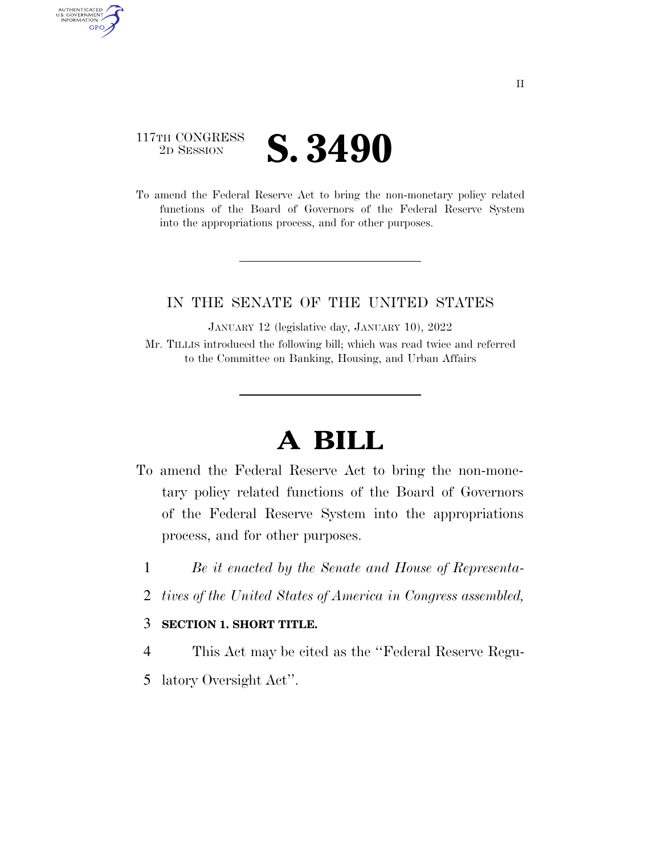## 117TH CONGRESS <sup>2D SESSION</sup> **S. 3490**

AUTHENTICATED<br>U.S. GOVERNMENT<br>INFORMATION GPO

> To amend the Federal Reserve Act to bring the non-monetary policy related functions of the Board of Governors of the Federal Reserve System into the appropriations process, and for other purposes.

## IN THE SENATE OF THE UNITED STATES

JANUARY 12 (legislative day, JANUARY 10), 2022 Mr. TILLIS introduced the following bill; which was read twice and referred to the Committee on Banking, Housing, and Urban Affairs

## **A BILL**

- To amend the Federal Reserve Act to bring the non-monetary policy related functions of the Board of Governors of the Federal Reserve System into the appropriations process, and for other purposes.
	- 1 *Be it enacted by the Senate and House of Representa-*
	- 2 *tives of the United States of America in Congress assembled,*

## 3 **SECTION 1. SHORT TITLE.**

- 4 This Act may be cited as the ''Federal Reserve Regu-
- 5 latory Oversight Act''.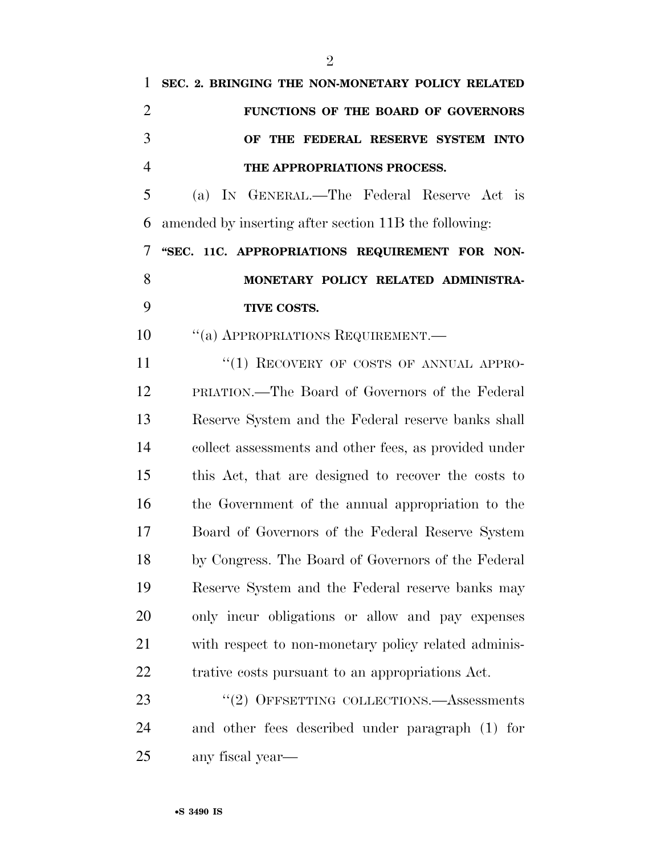| 1              | SEC. 2. BRINGING THE NON-MONETARY POLICY RELATED      |
|----------------|-------------------------------------------------------|
| $\overline{2}$ | FUNCTIONS OF THE BOARD OF GOVERNORS                   |
| 3              | OF THE FEDERAL RESERVE SYSTEM INTO                    |
| $\overline{4}$ | THE APPROPRIATIONS PROCESS.                           |
| 5              | (a) IN GENERAL.—The Federal Reserve Act is            |
| 6              | amended by inserting after section 11B the following: |
| 7              | "SEC. 11C. APPROPRIATIONS REQUIREMENT FOR NON-        |
| 8              | MONETARY POLICY RELATED ADMINISTRA-                   |
| 9              | TIVE COSTS.                                           |
| 10             | "(a) APPROPRIATIONS REQUIREMENT.                      |
| 11             | "(1) RECOVERY OF COSTS OF ANNUAL APPRO-               |
| 12             | PRIATION.—The Board of Governors of the Federal       |
| 13             | Reserve System and the Federal reserve banks shall    |
| 14             | collect assessments and other fees, as provided under |
| 15             | this Act, that are designed to recover the costs to   |
| 16             | the Government of the annual appropriation to the     |
| 17             | Board of Governors of the Federal Reserve System      |
| 18             | by Congress. The Board of Governors of the Federal    |
| 19             | Reserve System and the Federal reserve banks may      |
| 20             | only incur obligations or allow and pay expenses      |
| 21             | with respect to non-monetary policy related adminis-  |
| 22             | trative costs pursuant to an appropriations Act.      |
| 23             | $``(2)$ OFFSETTING COLLECTIONS.—Assessments           |
| 24             | and other fees described under paragraph (1) for      |
|                |                                                       |

any fiscal year—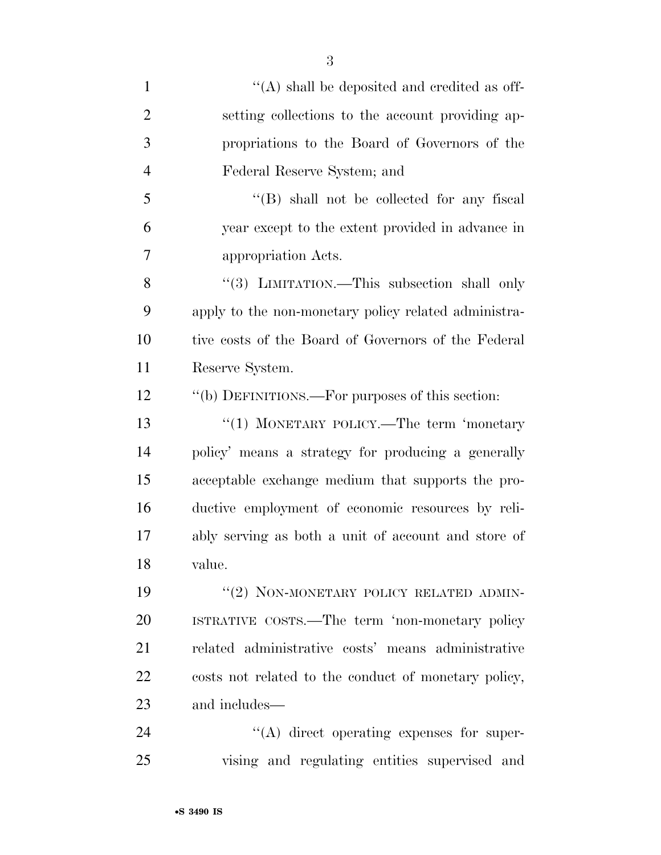| $\mathbf{1}$   | "(A) shall be deposited and credited as off-         |
|----------------|------------------------------------------------------|
| $\overline{2}$ | setting collections to the account providing ap-     |
| 3              | propriations to the Board of Governors of the        |
| $\overline{4}$ | Federal Reserve System; and                          |
| 5              | $\lq\lq$ (B) shall not be collected for any fiscal   |
| 6              | year except to the extent provided in advance in     |
| 7              | appropriation Acts.                                  |
| 8              | "(3) LIMITATION.—This subsection shall only          |
| 9              | apply to the non-monetary policy related administra- |
| 10             | tive costs of the Board of Governors of the Federal  |
| 11             | Reserve System.                                      |
| 12             | "(b) DEFINITIONS.—For purposes of this section:      |
| 13             | "(1) MONETARY POLICY.—The term 'monetary             |
| 14             | policy' means a strategy for producing a generally   |
| 15             | acceptable exchange medium that supports the pro-    |
| 16             | ductive employment of economic resources by reli-    |
| 17             | ably serving as both a unit of account and store of  |
| 18             | value.                                               |
| 19             | "(2) NON-MONETARY POLICY RELATED ADMIN-              |
| 20             | ISTRATIVE COSTS.—The term 'non-monetary policy       |
| 21             | related administrative costs' means administrative   |
| 22             | costs not related to the conduct of monetary policy, |
| 23             | and includes—                                        |
| 24             | $\lq\lq$ direct operating expenses for super-        |
| 25             | vising and regulating entities supervised and        |